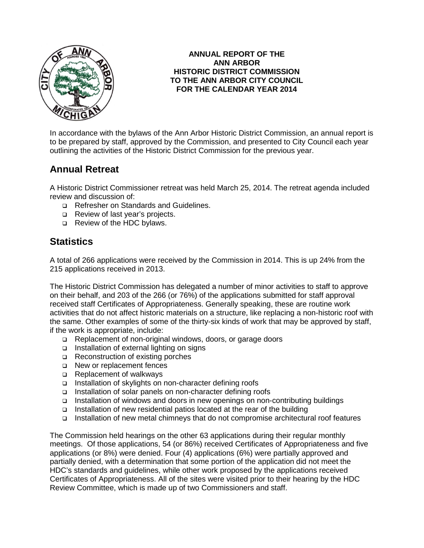

#### **ANNUAL REPORT OF THE ANN ARBOR HISTORIC DISTRICT COMMISSION TO THE ANN ARBOR CITY COUNCIL FOR THE CALENDAR YEAR 2014**

In accordance with the bylaws of the Ann Arbor Historic District Commission, an annual report is to be prepared by staff, approved by the Commission, and presented to City Council each year outlining the activities of the Historic District Commission for the previous year.

# **Annual Retreat**

A Historic District Commissioner retreat was held March 25, 2014. The retreat agenda included review and discussion of:

- □ Refresher on Standards and Guidelines.
- Review of last year's projects.
- Review of the HDC bylaws.

## **Statistics**

A total of 266 applications were received by the Commission in 2014. This is up 24% from the 215 applications received in 2013.

The Historic District Commission has delegated a number of minor activities to staff to approve on their behalf, and 203 of the 266 (or 76%) of the applications submitted for staff approval received staff Certificates of Appropriateness. Generally speaking, these are routine work activities that do not affect historic materials on a structure, like replacing a non-historic roof with the same. Other examples of some of the thirty-six kinds of work that may be approved by staff, if the work is appropriate, include:

- □ Replacement of non-original windows, doors, or garage doors
- □ Installation of external lighting on signs
- □ Reconstruction of existing porches
- □ New or replacement fences
- □ Replacement of walkways
- □ Installation of skylights on non-character defining roofs
- □ Installation of solar panels on non-character defining roofs
- Installation of windows and doors in new openings on non-contributing buildings
- Installation of new residential patios located at the rear of the building
- □ Installation of new metal chimneys that do not compromise architectural roof features

The Commission held hearings on the other 63 applications during their regular monthly meetings. Of those applications, 54 (or 86%) received Certificates of Appropriateness and five applications (or 8%) were denied. Four (4) applications (6%) were partially approved and partially denied, with a determination that some portion of the application did not meet the HDC's standards and guidelines, while other work proposed by the applications received Certificates of Appropriateness. All of the sites were visited prior to their hearing by the HDC Review Committee, which is made up of two Commissioners and staff.